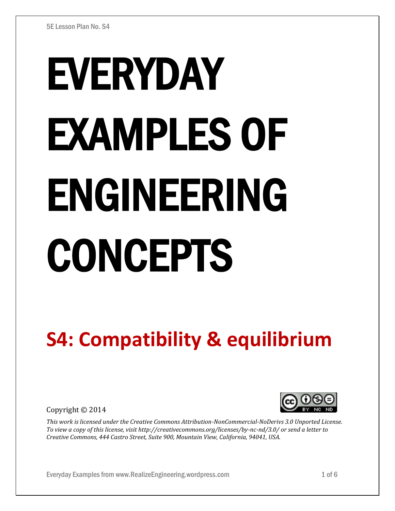# EVERYDAY EXAMPLES OF ENGINEERING CONCEPTS

## **S4: Compatibility & equilibrium**

Copyright © 2014



*This work is licensed under the Creative Commons Attribution-NonCommercial-NoDerivs 3.0 Unported License. To view a copy of this license, visit http://creativecommons.org/licenses/by-nc-nd/3.0/ or send a letter to Creative Commons, 444 Castro Street, Suite 900, Mountain View, California, 94041, USA.*

Everyday Examples from www.RealizeEngineering.wordpress.com 1 of 6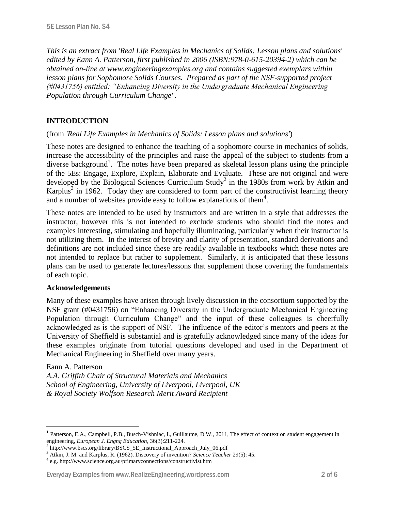*This is an extract from 'Real Life Examples in Mechanics of Solids: Lesson plans and solutions' edited by Eann A. Patterson, first published in 2006 (ISBN:978-0-615-20394-2) which can be obtained on-line at www.engineeringexamples.org and contains suggested exemplars within lesson plans for Sophomore Solids Courses. Prepared as part of the NSF-supported project (#0431756) entitled: "Enhancing Diversity in the Undergraduate Mechanical Engineering Population through Curriculum Change".* 

#### **INTRODUCTION**

#### (from *'Real Life Examples in Mechanics of Solids: Lesson plans and solutions'*)

These notes are designed to enhance the teaching of a sophomore course in mechanics of solids, increase the accessibility of the principles and raise the appeal of the subject to students from a diverse background<sup>1</sup>. The notes have been prepared as skeletal lesson plans using the principle of the 5Es: Engage, Explore, Explain, Elaborate and Evaluate. These are not original and were developed by the Biological Sciences Curriculum Study<sup>2</sup> in the 1980s from work by Atkin and Karplus<sup>3</sup> in 1962. Today they are considered to form part of the constructivist learning theory and a number of websites provide easy to follow explanations of them<sup>4</sup>.

These notes are intended to be used by instructors and are written in a style that addresses the instructor, however this is not intended to exclude students who should find the notes and examples interesting, stimulating and hopefully illuminating, particularly when their instructor is not utilizing them. In the interest of brevity and clarity of presentation, standard derivations and definitions are not included since these are readily available in textbooks which these notes are not intended to replace but rather to supplement. Similarly, it is anticipated that these lessons plans can be used to generate lectures/lessons that supplement those covering the fundamentals of each topic.

#### **Acknowledgements**

Many of these examples have arisen through lively discussion in the consortium supported by the NSF grant (#0431756) on "Enhancing Diversity in the Undergraduate Mechanical Engineering Population through Curriculum Change" and the input of these colleagues is cheerfully acknowledged as is the support of NSF. The influence of the editor's mentors and peers at the University of Sheffield is substantial and is gratefully acknowledged since many of the ideas for these examples originate from tutorial questions developed and used in the Department of Mechanical Engineering in Sheffield over many years.

#### Eann A. Patterson

 $\overline{a}$ 

*A.A. Griffith Chair of Structural Materials and Mechanics School of Engineering, University of Liverpool, Liverpool, UK & Royal Society Wolfson Research Merit Award Recipient*

#### Everyday Examples from www.RealizeEngineering.wordpress.com 2 of 6

<sup>1</sup> Patterson, E.A., Campbell, P.B., Busch-Vishniac, I., Guillaume, D.W., 2011, The effect of context on student engagement in engineering, *European J. Engng Education*, 36(3):211-224.

<sup>&</sup>lt;sup>2</sup> http://www.bscs.org/library/BSCS\_5E\_Instructional\_Approach\_July\_06.pdf

<sup>3</sup> Atkin, J. M. and Karplus, R. (1962). Discovery of invention? *Science Teacher* 29(5): 45.

<sup>4</sup> e.g. http://www.science.org.au/primaryconnections/constructivist.htm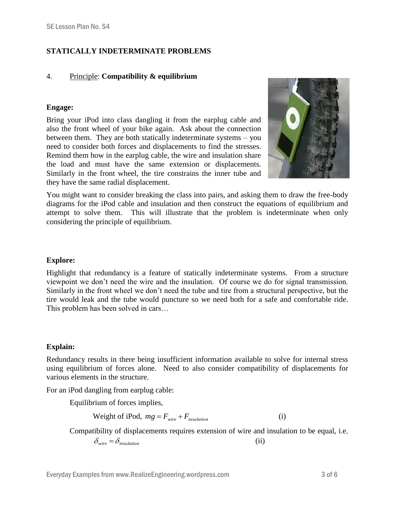### **STATICALLY INDETERMINATE PROBLEMS**

#### 4. Principle: **Compatibility & equilibrium**

#### **Engage:**

Bring your iPod into class dangling it from the earplug cable and also the front wheel of your bike again. Ask about the connection between them. They are both statically indeterminate systems – you need to consider both forces and displacements to find the stresses. Remind them how in the earplug cable, the wire and insulation share the load and must have the same extension or displacements. Similarly in the front wheel, the tire constrains the inner tube and they have the same radial displacement.



You might want to consider breaking the class into pairs, and asking them to draw the free-body diagrams for the iPod cable and insulation and then construct the equations of equilibrium and attempt to solve them. This will illustrate that the problem is indeterminate when only considering the principle of equilibrium.

#### **Explore:**

Highlight that redundancy is a feature of statically indeterminate systems. From a structure viewpoint we don't need the wire and the insulation. Of course we do for signal transmission. Similarly in the front wheel we don't need the tube and tire from a structural perspective, but the tire would leak and the tube would puncture so we need both for a safe and comfortable ride. This problem has been solved in cars…

#### **Explain:**

Redundancy results in there being insufficient information available to solve for internal stress using equilibrium of forces alone. Need to also consider compatibility of displacements for various elements in the structure.

For an iPod dangling from earplug cable:

Equilibrium of forces implies,

Weight of iPod, 
$$
mg = F_{wire} + F_{insulation}
$$
 (i)

Compatibility of displacements requires extension of wire and insulation to be equal, i.e.

$$
\delta_{\text{wire}} = \delta_{\text{insulation}} \tag{ii}
$$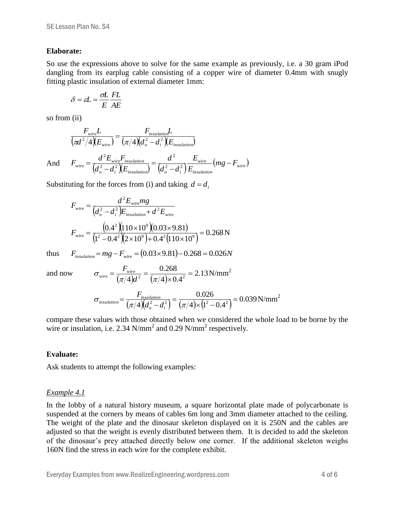#### **Elaborate:**

So use the expressions above to solve for the same example as previously, i.e. a 30 gram iPod dangling from its earplug cable consisting of a copper wire of diameter 0.4mm with snugly fitting plastic insulation of external diameter 1mm:

$$
\delta = \varepsilon L = \frac{\sigma L}{E} \frac{FL}{AE}
$$

so from (ii)

$$
\frac{F_{wire} L}{\left(\pi d^2/4\right)E_{wire}} = \frac{F_{insulation} L}{\left(\pi/4\right) \left(d_o^2 - d_i^2\right)E_{insulation}}
$$
\n
$$
d^2 E_{wire} F_{insulation} \qquad d^2 E_{wire} \qquad (E = E)
$$

And

 $\frac{a}{(d_o^2-d_i^2)(E_{institution})} = \frac{a}{(d_o^2-d_i^2)} \frac{E_{wire}}{E_{institution}} (mg - F_{wire})$ *insulation wire*  $\alpha_o - a_i$  *(Linsulation)*  $\alpha_o - a_i$  $\sum_{wire}$   $=$   $\frac{a}{(d_o^2 - d_i^2)(E_{insulation})}$  $=$   $\frac{a}{(d_o^2 - d_i^2)} \frac{E_{wire}}{E_{insulation}} (mg - F)$  $d<sub>o</sub><sup>2</sup> - d$  $d_{a}^{2}-d_{i}^{2}$   $(E$  $F_{wire} = \frac{d^2 E_{wire} F_{insulation}}{d^2 E_{wire} F_{insulation}} = \frac{d^2}{d^2 E_{wire}} \frac{E_{wire}}{d^2}$  (*mg* - $=$ - $=\frac{a L_{wire}I_{insulation}}{a L^2} = \frac{a}{a^2}$ 

Substituting for the forces from (i) and taking  $d = d_i$ 

$$
F_{wire} = \frac{d^2 E_{wire} mg}{(d_o^2 - d_i^2) E_{insulation} + d^2 E_{wire}}
$$
  
\n
$$
F_{wire} = \frac{(0.4^2)(110 \times 10^9)(0.03 \times 9.81)}{(1^2 - 0.4^2)(2 \times 10^9) + 0.4^2(110 \times 10^9)} = 0.268 \text{ N}
$$

thus

 $F_{\textit{insulation}}\!=\!mg\!-\!F_{\textit{wire}}\!=\!(0.03\!\times\!9.81)\!-\!0.268\!=\!0.026N$ 0.268  $F_{wire} = \frac{F_{wire}}{(-4\lambda)I^2} = \frac{0.268}{(-4\lambda)I^2} = 2.13 \text{ N/mm}^2$ 

and now

 $\sigma$ 

$$
\sigma_{wire} = \frac{F_{wire}}{(\pi/4)d^2} = \frac{0.206}{(\pi/4)\times 0.4^2} = 2.13 \text{ N/mm}^2
$$

$$
\sigma_{insulation} = \frac{F_{insulation}}{(\pi/4)d^2 - d^2} = \frac{0.026}{(\pi/4)\times(1^2 - 0.4^2)} = 0.039 \text{ N/mm}^2
$$

 $(\pi/4)(d_o^2 - d_i^2)$   $(\pi/4) \times (1^2 - 0.4^2)$ 4) $\times$ (1<sup>2</sup> – 0.4  $\frac{F_{insulation}}{4\left(\frac{d^2}{d_o} - d_i^2\right)} = \frac{0.025}{\left(\frac{\pi}{4}\right) \times \left(1^2 - 0.4^2\right)} =$  $\times$ (1<sup>2</sup> – - $\alpha$ <sup>*i*</sup>  $\hat{d}$  *insulation*<br> $=$   $\frac{d}{d\pi}$   $\frac{d}{d\pi}$   $\frac{d}{d\pi}$   $\frac{d}{d\pi}$   $\frac{d}{d\pi}$ compare these values with those obtained when we considered the whole load to be borne by the wire or insulation, i.e. 2.34 N/mm<sup>2</sup> and 0.29 N/mm<sup>2</sup> respectively.

#### **Evaluate:**

Ask students to attempt the following examples:

#### *Example 4.1*

In the lobby of a natural history museum, a square horizontal plate made of polycarbonate is suspended at the corners by means of cables 6m long and 3mm diameter attached to the ceiling. The weight of the plate and the dinosaur skeleton displayed on it is 250N and the cables are adjusted so that the weight is evenly distributed between them. It is decided to add the skeleton of the dinosaur's prey attached directly below one corner. If the additional skeleton weighs 160N find the stress in each wire for the complete exhibit.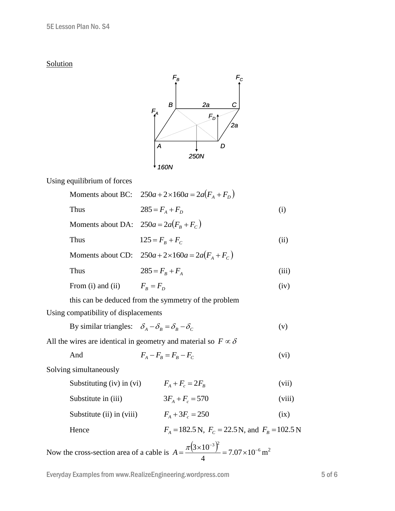### **Solution**



Using equilibrium of forces

|                                                                            |                                                                   |                                                       | Moments about BC: $250a+2\times160a=2a(F_A+F_n)$                                                              |        |
|----------------------------------------------------------------------------|-------------------------------------------------------------------|-------------------------------------------------------|---------------------------------------------------------------------------------------------------------------|--------|
| <b>Thus</b>                                                                |                                                                   | $285 = F_{A} + F_{D}$                                 |                                                                                                               | (i)    |
|                                                                            | Moments about DA: $250a = 2a(F_R + F_C)$                          |                                                       |                                                                                                               |        |
| Thus                                                                       |                                                                   | $125 = F_R + F_C$                                     |                                                                                                               | (ii)   |
|                                                                            |                                                                   |                                                       | Moments about CD: $250a+2\times160a=2a(F_A+F_C)$                                                              |        |
| Thus                                                                       |                                                                   | $285 = F_B + F_A$                                     |                                                                                                               | (iii)  |
|                                                                            | From $(i)$ and $(ii)$                                             | $F_{\scriptscriptstyle R} = F_{\scriptscriptstyle D}$ |                                                                                                               | (iv)   |
| this can be deduced from the symmetry of the problem                       |                                                                   |                                                       |                                                                                                               |        |
| Using compatibility of displacements                                       |                                                                   |                                                       |                                                                                                               |        |
|                                                                            | By similar triangles: $\delta_A - \delta_B = \delta_B - \delta_C$ |                                                       |                                                                                                               | (v)    |
| All the wires are identical in geometry and material so $F \propto \delta$ |                                                                   |                                                       |                                                                                                               |        |
| And                                                                        |                                                                   |                                                       | $F_{A}-F_{B}=F_{B}-F_{C}$                                                                                     | (vi)   |
| Solving simultaneously                                                     |                                                                   |                                                       |                                                                                                               |        |
|                                                                            | Substituting $(iv)$ in $(vi)$                                     |                                                       | $F_{A} + F_{c} = 2F_{B}$                                                                                      | (vii)  |
|                                                                            | Substitute in (iii)                                               |                                                       | $3F_4 + F_5 = 570$                                                                                            | (viii) |
|                                                                            | Substitute (ii) in (viii)                                         |                                                       | $F_{A} + 3F_{c} = 250$                                                                                        | (ix)   |
| Hence                                                                      |                                                                   |                                                       | $F_A = 182.5$ N, $F_C = 22.5$ N, and $F_B = 102.5$ N                                                          |        |
|                                                                            |                                                                   |                                                       | Now the cross section area of a soble is $A = \pi(3 \times 10^{-3})^2$ = 7.07 $\times 10^{-6}$ m <sup>2</sup> |        |

Now the cross-section area of a cable is *A*  $\frac{(3\times10^{-3})^2}{4} = 7.07\times10^{-6} \text{ m}^2$ 4